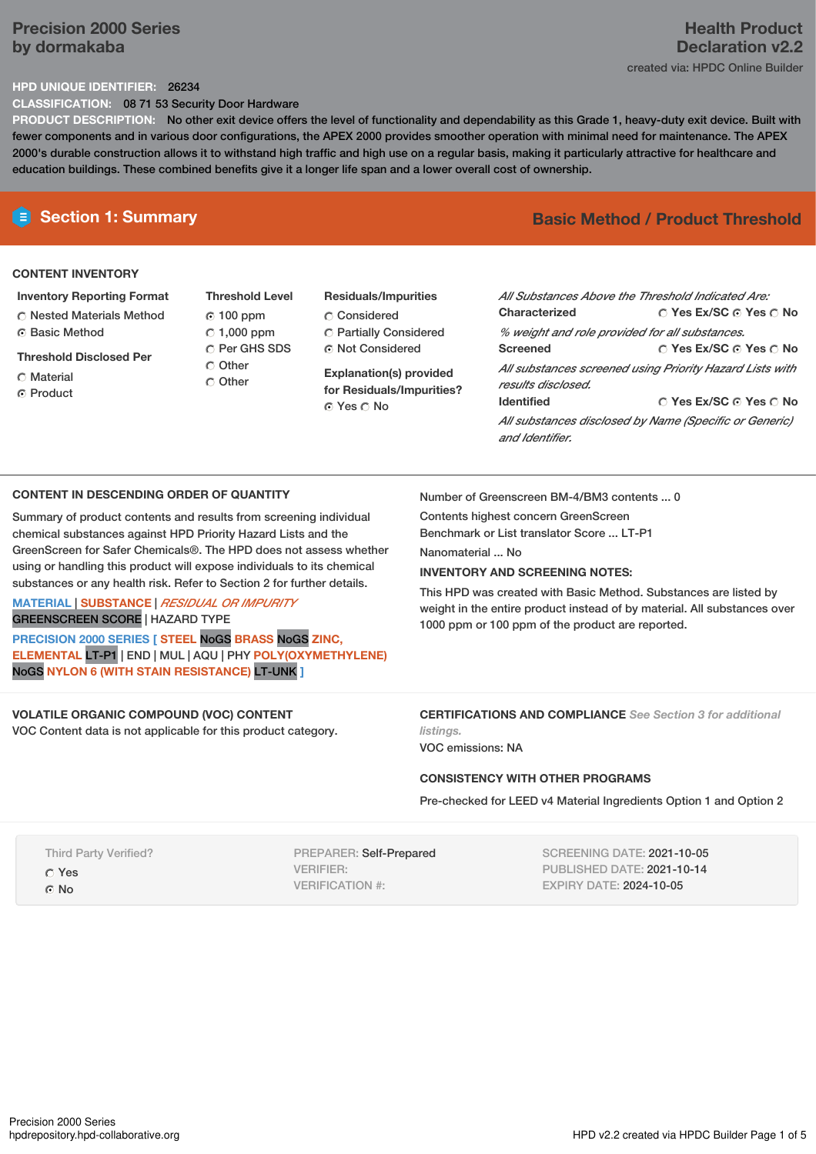# **Precision 2000 Series by dormakaba**

# **Health Product Declaration v2.2** created via: HPDC Online Builder

## **HPD UNIQUE IDENTIFIER:** 26234

**CLASSIFICATION:** 08 71 53 Security Door Hardware

**PRODUCT DESCRIPTION:** No other exit device offers the level of functionality and dependability as this Grade 1, heavy-duty exit device. Built with fewer components and in various door configurations, the APEX 2000 provides smoother operation with minimal need for maintenance. The APEX 2000's durable construction allows it to withstand high traffic and high use on a regular basis, making it particularly attractive for healthcare and education buildings. These combined benefits give it a longer life span and a lower overall cost of ownership.

## **CONTENT INVENTORY**

- **Inventory Reporting Format** Nested Materials Method **C** Basic Method
- **Threshold Disclosed Per**
- **C** Material
- ⊙ Product

**Threshold Level** 100 ppm  $\degree$  1,000 ppm O Per GHS SDS Other C Other

# **Residuals/Impurities** Considered Partially Considered Not Considered

**Explanation(s) provided for Residuals/Impurities?** Yes No

# **E** Section 1: Summary **Basic** Method **/** Product Threshold

| All Substances Above the Threshold Indicated Are:<br>Characterized             | $\cap$ Yes Ex/SC $\cap$ Yes $\cap$ No |  |  |  |
|--------------------------------------------------------------------------------|---------------------------------------|--|--|--|
| % weight and role provided for all substances.                                 |                                       |  |  |  |
| <b>Screened</b>                                                                | ○ Yes Ex/SC ⊙ Yes ○ No                |  |  |  |
| All substances screened using Priority Hazard Lists with<br>results disclosed. |                                       |  |  |  |
| <b>Identified</b>                                                              | ○ Yes Ex/SC ⊙ Yes ○ No                |  |  |  |
| All substances disclosed by Name (Specific or Generic)<br>and Identifier.      |                                       |  |  |  |

## **CONTENT IN DESCENDING ORDER OF QUANTITY**

**MATERIAL** | **SUBSTANCE** | *RESIDUAL OR IMPURITY*

Summary of product contents and results from screening individual chemical substances against HPD Priority Hazard Lists and the GreenScreen for Safer Chemicals®. The HPD does not assess whether using or handling this product will expose individuals to its chemical substances or any health risk. Refer to Section 2 for further details.

Number of Greenscreen BM-4/BM3 contents ... 0

Contents highest concern GreenScreen Benchmark or List translator Score ... LT-P1

Nanomaterial No.

## **INVENTORY AND SCREENING NOTES:**

This HPD was created with Basic Method. Substances are listed by weight in the entire product instead of by material. All substances over 1000 ppm or 100 ppm of the product are reported.

# GREENSCREEN SCORE | HAZARD TYPE

**PRECISION 2000 SERIES [ STEEL** NoGS **BRASS** NoGS **ZINC, ELEMENTAL** LT-P1 | END | MUL | AQU | PHY **POLY(OXYMETHYLENE)** NoGS **NYLON 6 (WITH STAIN RESISTANCE)** LT-UNK **]**

#### **VOLATILE ORGANIC COMPOUND (VOC) CONTENT** VOC Content data is not applicable for this product category.

**CERTIFICATIONS AND COMPLIANCE** *See Section 3 for additional listings.*

VOC emissions: NA

## **CONSISTENCY WITH OTHER PROGRAMS**

Pre-checked for LEED v4 Material Ingredients Option 1 and Option 2

Third Party Verified?

Yes

© No

PREPARER: Self-Prepared VERIFIER: VERIFICATION #:

SCREENING DATE: 2021-10-05 PUBLISHED DATE: 2021-10-14 EXPIRY DATE: 2024-10-05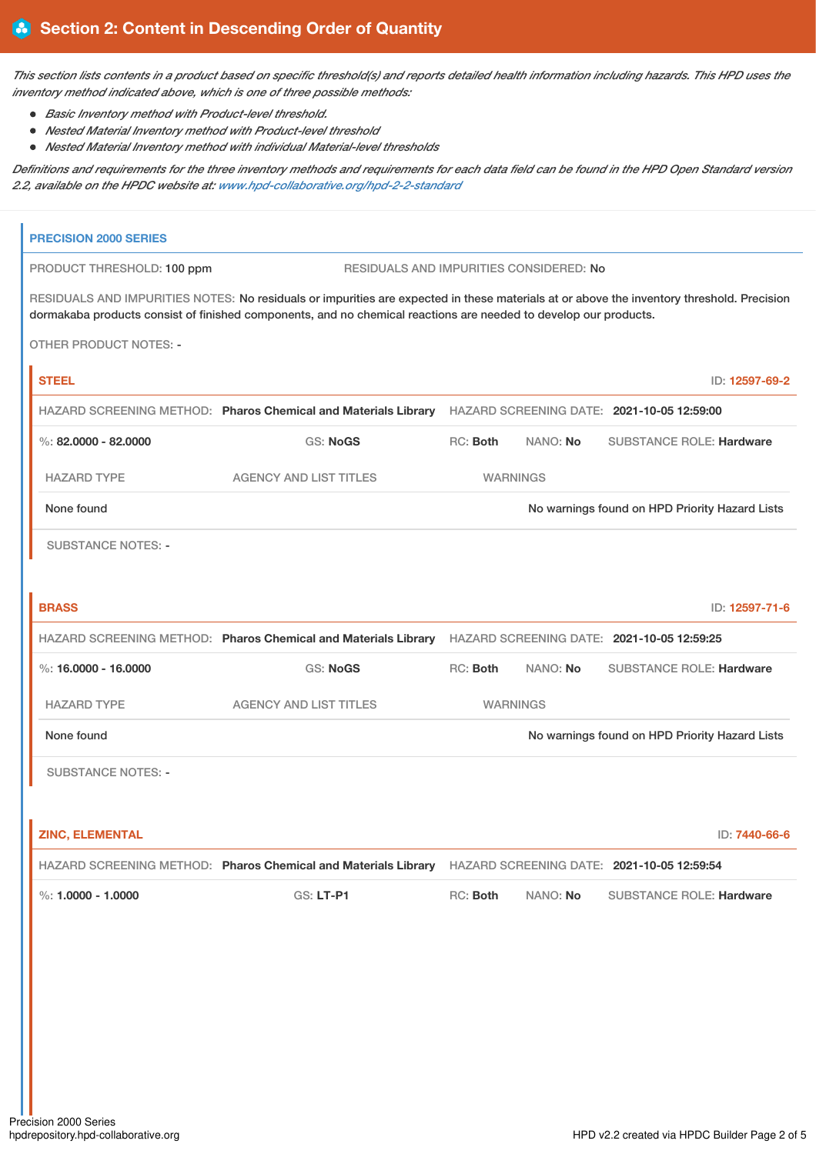This section lists contents in a product based on specific threshold(s) and reports detailed health information including hazards. This HPD uses the *inventory method indicated above, which is one of three possible methods:*

*Basic Inventory method with Product-level threshold.*

 $\mathbf{r}$ 

- *Nested Material Inventory method with Product-level threshold*
- *Nested Material Inventory method with individual Material-level thresholds*

Definitions and requirements for the three inventory methods and requirements for each data field can be found in the HPD Open Standard version *2.2, available on the HPDC website at: [www.hpd-collaborative.org/hpd-2-2-standard](https://www.hpd-collaborative.org/hpd-2-2-standard)*

| <b>PRECISION 2000 SERIES</b>  |                                                                                                                                                                                                                                                               |                                                |                 |                                                |                |
|-------------------------------|---------------------------------------------------------------------------------------------------------------------------------------------------------------------------------------------------------------------------------------------------------------|------------------------------------------------|-----------------|------------------------------------------------|----------------|
| PRODUCT THRESHOLD: 100 ppm    | RESIDUALS AND IMPURITIES CONSIDERED: No                                                                                                                                                                                                                       |                                                |                 |                                                |                |
|                               | RESIDUALS AND IMPURITIES NOTES: No residuals or impurities are expected in these materials at or above the inventory threshold. Precision<br>dormakaba products consist of finished components, and no chemical reactions are needed to develop our products. |                                                |                 |                                                |                |
| <b>OTHER PRODUCT NOTES: -</b> |                                                                                                                                                                                                                                                               |                                                |                 |                                                |                |
| <b>STEEL</b>                  |                                                                                                                                                                                                                                                               |                                                |                 |                                                | ID: 12597-69-2 |
|                               | HAZARD SCREENING METHOD: Pharos Chemical and Materials Library HAZARD SCREENING DATE: 2021-10-05 12:59:00                                                                                                                                                     |                                                |                 |                                                |                |
| %: 82,0000 - 82,0000          | <b>GS: NoGS</b>                                                                                                                                                                                                                                               | RC: Both                                       | NANO: No        | <b>SUBSTANCE ROLE: Hardware</b>                |                |
| <b>HAZARD TYPE</b>            | <b>AGENCY AND LIST TITLES</b>                                                                                                                                                                                                                                 |                                                | <b>WARNINGS</b> |                                                |                |
| None found                    |                                                                                                                                                                                                                                                               |                                                |                 | No warnings found on HPD Priority Hazard Lists |                |
| <b>SUBSTANCE NOTES: -</b>     |                                                                                                                                                                                                                                                               |                                                |                 |                                                |                |
| <b>BRASS</b>                  |                                                                                                                                                                                                                                                               |                                                |                 |                                                | ID: 12597-71-6 |
|                               | HAZARD SCREENING METHOD: Pharos Chemical and Materials Library HAZARD SCREENING DATE: 2021-10-05 12:59:25                                                                                                                                                     |                                                |                 |                                                |                |
| %: 16,0000 - 16,0000          | GS: NoGS                                                                                                                                                                                                                                                      | RC: Both                                       | NANO: No        | <b>SUBSTANCE ROLE: Hardware</b>                |                |
| <b>HAZARD TYPE</b>            | <b>AGENCY AND LIST TITLES</b>                                                                                                                                                                                                                                 |                                                | <b>WARNINGS</b> |                                                |                |
| None found                    |                                                                                                                                                                                                                                                               | No warnings found on HPD Priority Hazard Lists |                 |                                                |                |
| <b>SUBSTANCE NOTES: -</b>     |                                                                                                                                                                                                                                                               |                                                |                 |                                                |                |
|                               |                                                                                                                                                                                                                                                               |                                                |                 |                                                |                |
| <b>ZINC, ELEMENTAL</b>        |                                                                                                                                                                                                                                                               |                                                |                 |                                                | ID: 7440-66-6  |
|                               | HAZARD SCREENING METHOD: Pharos Chemical and Materials Library HAZARD SCREENING DATE: 2021-10-05 12:59:54                                                                                                                                                     |                                                |                 |                                                |                |
| %: $1.0000 - 1.0000$          | GS: LT-P1                                                                                                                                                                                                                                                     | RC: Both                                       | NANO: No        | <b>SUBSTANCE ROLE: Hardware</b>                |                |
|                               |                                                                                                                                                                                                                                                               |                                                |                 |                                                |                |
|                               |                                                                                                                                                                                                                                                               |                                                |                 |                                                |                |
|                               |                                                                                                                                                                                                                                                               |                                                |                 |                                                |                |
|                               |                                                                                                                                                                                                                                                               |                                                |                 |                                                |                |
|                               |                                                                                                                                                                                                                                                               |                                                |                 |                                                |                |
|                               |                                                                                                                                                                                                                                                               |                                                |                 |                                                |                |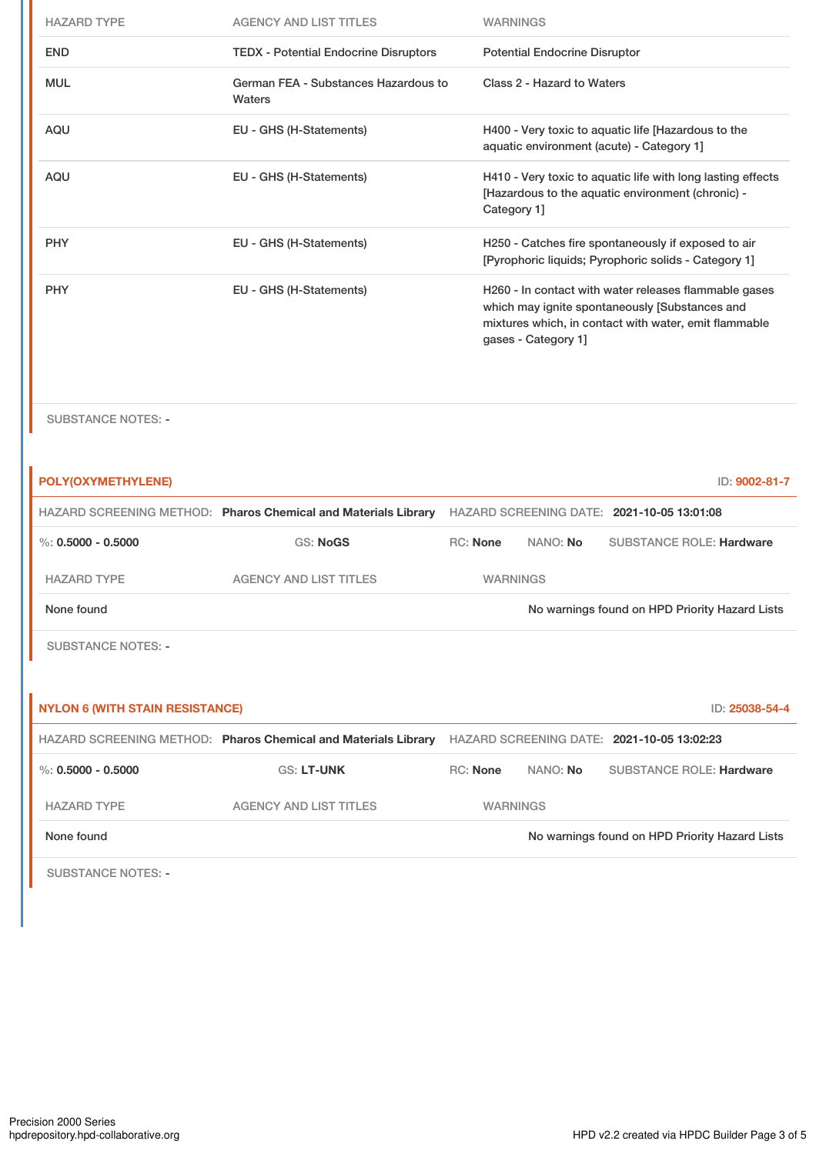| <b>HAZARD TYPE</b> | <b>AGENCY AND LIST TITLES</b>                  | <b>WARNINGS</b>                                                                                                                                                                         |
|--------------------|------------------------------------------------|-----------------------------------------------------------------------------------------------------------------------------------------------------------------------------------------|
| <b>END</b>         | <b>TEDX - Potential Endocrine Disruptors</b>   | <b>Potential Endocrine Disruptor</b>                                                                                                                                                    |
| <b>MUL</b>         | German FEA - Substances Hazardous to<br>Waters | Class 2 - Hazard to Waters                                                                                                                                                              |
| <b>AQU</b>         | EU - GHS (H-Statements)                        | H400 - Very toxic to aquatic life [Hazardous to the<br>aquatic environment (acute) - Category 1]                                                                                        |
| <b>AQU</b>         | EU - GHS (H-Statements)                        | H410 - Very toxic to aquatic life with long lasting effects<br>[Hazardous to the aquatic environment (chronic) -<br>Category 1]                                                         |
| <b>PHY</b>         | EU - GHS (H-Statements)                        | H250 - Catches fire spontaneously if exposed to air<br>[Pyrophoric liquids; Pyrophoric solids - Category 1]                                                                             |
| <b>PHY</b>         | EU - GHS (H-Statements)                        | H260 - In contact with water releases flammable gases<br>which may ignite spontaneously [Substances and<br>mixtures which, in contact with water, emit flammable<br>gases - Category 1] |

SUBSTANCE NOTES: -

| POLY(OXYMETHYLENE)                     |                                                                |                 |          | ID: 9002-81-7                                  |
|----------------------------------------|----------------------------------------------------------------|-----------------|----------|------------------------------------------------|
|                                        | HAZARD SCREENING METHOD: Pharos Chemical and Materials Library |                 |          | HAZARD SCREENING DATE: 2021-10-05 13:01:08     |
| %: $0.5000 - 0.5000$                   | <b>GS: NoGS</b>                                                | <b>RC:</b> None | NANO: No | <b>SUBSTANCE ROLE: Hardware</b>                |
| <b>HAZARD TYPE</b>                     | <b>AGENCY AND LIST TITLES</b>                                  | <b>WARNINGS</b> |          |                                                |
| None found                             |                                                                |                 |          | No warnings found on HPD Priority Hazard Lists |
| <b>SUBSTANCE NOTES: -</b>              |                                                                |                 |          |                                                |
|                                        |                                                                |                 |          |                                                |
|                                        |                                                                |                 |          |                                                |
| <b>NYLON 6 (WITH STAIN RESISTANCE)</b> |                                                                |                 |          | ID: 25038-54-4                                 |
|                                        | HAZARD SCREENING METHOD: Pharos Chemical and Materials Library |                 |          | HAZARD SCREENING DATE: 2021-10-05 13:02:23     |
| $\%$ : 0.5000 - 0.5000                 | <b>GS: LT-UNK</b>                                              | <b>RC:</b> None | NANO: No | <b>SUBSTANCE ROLE: Hardware</b>                |
| <b>HAZARD TYPE</b>                     | <b>AGENCY AND LIST TITLES</b>                                  | <b>WARNINGS</b> |          |                                                |
| None found                             |                                                                |                 |          | No warnings found on HPD Priority Hazard Lists |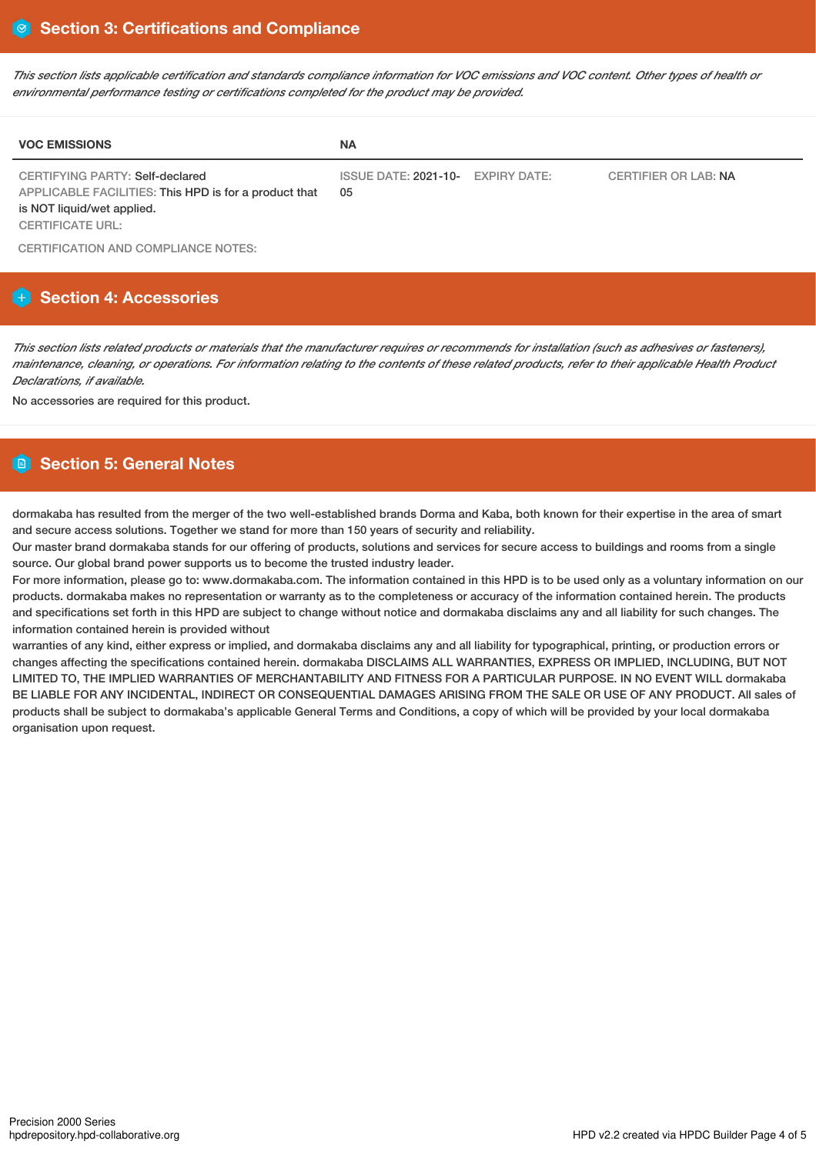This section lists applicable certification and standards compliance information for VOC emissions and VOC content. Other types of health or *environmental performance testing or certifications completed for the product may be provided.*

| <b>VOC EMISSIONS</b>                                                                                                                                     | <b>NA</b>                               |                             |
|----------------------------------------------------------------------------------------------------------------------------------------------------------|-----------------------------------------|-----------------------------|
| <b>CERTIFYING PARTY: Self-declared</b><br>APPLICABLE FACILITIES: This HPD is for a product that<br>is NOT liquid/wet applied.<br><b>CERTIFICATE URL:</b> | ISSUE DATE: 2021-10- EXPIRY DATE:<br>05 | <b>CERTIFIER OR LAB: NA</b> |

CERTIFICATION AND COMPLIANCE NOTES:

# **Section 4: Accessories**

This section lists related products or materials that the manufacturer requires or recommends for installation (such as adhesives or fasteners), maintenance, cleaning, or operations. For information relating to the contents of these related products, refer to their applicable Health Product *Declarations, if available.*

No accessories are required for this product.

# **Section 5: General Notes**

dormakaba has resulted from the merger of the two well-established brands Dorma and Kaba, both known for their expertise in the area of smart and secure access solutions. Together we stand for more than 150 years of security and reliability.

Our master brand dormakaba stands for our offering of products, solutions and services for secure access to buildings and rooms from a single source. Our global brand power supports us to become the trusted industry leader.

For more information, please go to: www.dormakaba.com. The information contained in this HPD is to be used only as a voluntary information on our products. dormakaba makes no representation or warranty as to the completeness or accuracy of the information contained herein. The products and specifications set forth in this HPD are subject to change without notice and dormakaba disclaims any and all liability for such changes. The information contained herein is provided without

warranties of any kind, either express or implied, and dormakaba disclaims any and all liability for typographical, printing, or production errors or changes affecting the specifications contained herein. dormakaba DISCLAIMS ALL WARRANTIES, EXPRESS OR IMPLIED, INCLUDING, BUT NOT LIMITED TO, THE IMPLIED WARRANTIES OF MERCHANTABILITY AND FITNESS FOR A PARTICULAR PURPOSE. IN NO EVENT WILL dormakaba BE LIABLE FOR ANY INCIDENTAL, INDIRECT OR CONSEQUENTIAL DAMAGES ARISING FROM THE SALE OR USE OF ANY PRODUCT. All sales of products shall be subject to dormakaba's applicable General Terms and Conditions, a copy of which will be provided by your local dormakaba organisation upon request.